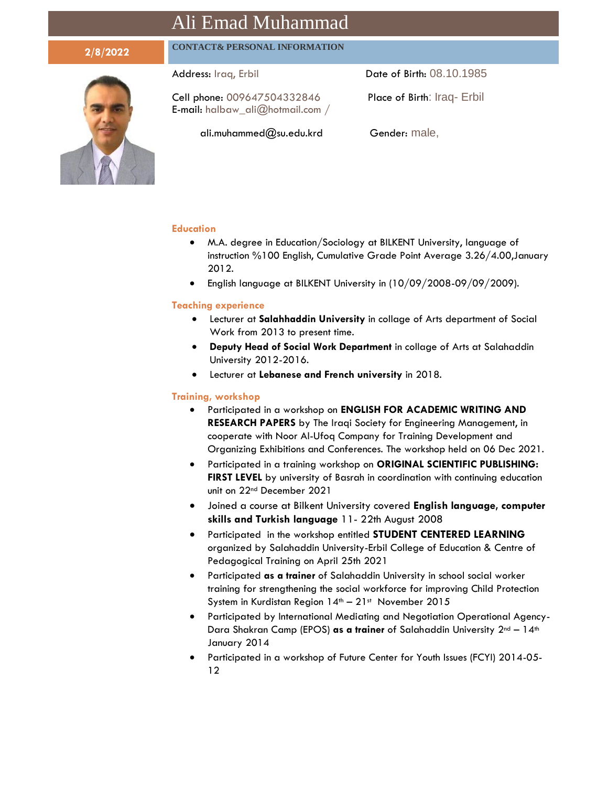# Ali Emad Muhammad

## **2/8/2022 CONTACT& PERSONAL INFORMATION**

Cell phone: 009647504332846 Place of Birth: Iraq- Erbil E-mail: [halbaw\\_ali@hotmail.com](mailto:halbaw_ali@hotmail.com) /

Address: Iraq, Erbil **Date of Birth: 08.10.1985** 

ali.muhammed@su.edu.krd Gender: male,

#### **Education**

- M.A. degree in Education/Sociology at BILKENT University, language of instruction %100 English, Cumulative Grade Point Average 3.26/4.00,January 2012.
- English language at BILKENT University in (10/09/2008-09/09/2009).

### **Teaching experience**

- Lecturer at **Salahhaddin University** in collage of Arts department of Social Work from 2013 to present time.
- **Deputy Head of Social Work Department** in collage of Arts at Salahaddin University 2012-2016.
- Lecturer at **Lebanese and French university** in 2018.

#### **Training, workshop**

- Participated in a workshop on **ENGLISH FOR ACADEMIC WRITING AND RESEARCH PAPERS** by The Iraqi Society for Engineering Management, in cooperate with Noor Al-Ufoq Company for Training Development and Organizing Exhibitions and Conferences. The workshop held on 06 Dec 2021.
- Participated in a training workshop on **ORIGINAL SCIENTIFIC PUBLISHING: FIRST LEVEL** by university of Basrah in coordination with continuing education unit on 22nd December 2021
- Joined a course at Bilkent University covered **English language, computer skills and Turkish language** 11- 22th August 2008
- Participated in the workshop entitled **STUDENT CENTERED LEARNING** organized by Salahaddin University-Erbil College of Education & Centre of Pedagogical Training on April 25th 2021
- Participated **as a trainer** of Salahaddin University in school social worker training for strengthening the social workforce for improving Child Protection System in Kurdistan Region  $14<sup>th</sup> - 21<sup>st</sup>$  November 2015
- Participated by International Mediating and Negotiation Operational Agency-Dara Shakran Camp (EPOS) as a trainer of Salahaddin University 2<sup>nd</sup> - 14<sup>th</sup> January 2014
- Participated in a workshop of Future Center for Youth Issues (FCYI) 2014-05- 12